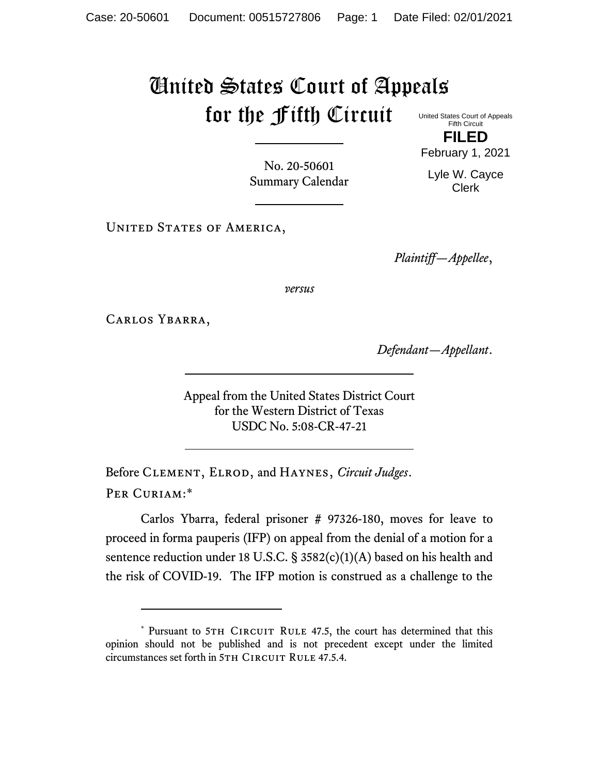## United States Court of Appeals for the Fifth Circuit

United States Court of Appeals Fifth Circuit **FILED**

No. 20-50601 Summary Calendar

Lyle W. Cayce Clerk

February 1, 2021

UNITED STATES OF AMERICA,

*Plaintiff—Appellee*,

*versus*

Carlos Ybarra,

*Defendant—Appellant*.

Appeal from the United States District Court for the Western District of Texas USDC No. 5:08-CR-47-21

Before Clement, Elrod, and Haynes, *Circuit Judges*. Per Curiam:\*

Carlos Ybarra, federal prisoner # 97326-180, moves for leave to proceed in forma pauperis (IFP) on appeal from the denial of a motion for a sentence reduction under 18 U.S.C. § 3582(c)(1)(A) based on his health and the risk of COVID-19. The IFP motion is construed as a challenge to the

<sup>\*</sup> Pursuant to 5TH CIRCUIT RULE 47.5, the court has determined that this opinion should not be published and is not precedent except under the limited circumstances set forth in 5TH CIRCUIT RULE 47.5.4.